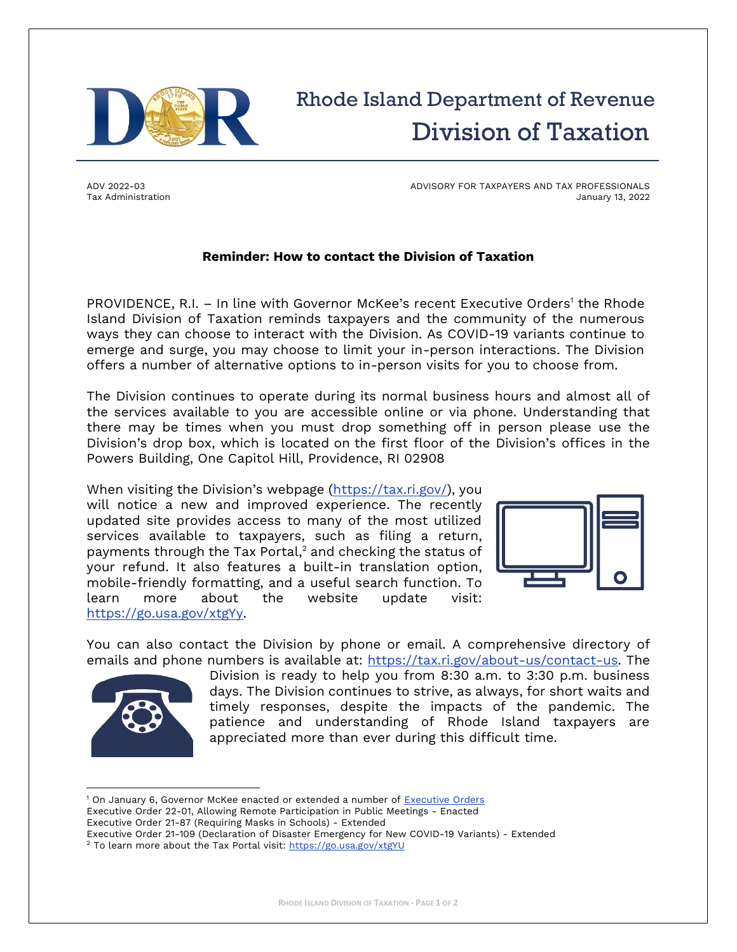

## Rhode Island Department of Revenue Division of Taxation

ADV 2022-03 Tax Administration ADVISORY FOR TAXPAYERS AND TAX PROFESSIONALS January 13, 2022

## **Reminder: How to contact the Division of Taxation**

PROVIDENCE, R.I. - In line with Governor McKee's recent Executive Orders<sup>1</sup> the Rhode Island Division of Taxation reminds taxpayers and the community of the numerous ways they can choose to interact with the Division. As COVID-19 variants continue to emerge and surge, you may choose to limit your in-person interactions. The Division offers a number of alternative options to in-person visits for you to choose from.

The Division continues to operate during its normal business hours and almost all of the services available to you are accessible online or via phone. Understanding that there may be times when you must drop something off in person please use the Division's drop box, which is located on the first floor of the Division's offices in the Powers Building, One Capitol Hill, Providence, RI 02908

When visiting the Division's webpage ([https://tax.ri.gov/\)](https://tax.ri.gov/), you will notice a new and improved experience. The recently updated site provides access to many of the most utilized services available to taxpayers, such as filing a return, payments through the Tax Portal, <sup>2</sup> and checking the status of your refund. It also features a built-in translation option, mobile-friendly formatting, and a useful search function. To learn more about the website update visit: [https://go.usa.gov/xtgYy.](https://go.usa.gov/xtgYy)



You can also contact the Division by phone or email. A comprehensive directory of emails and phone numbers is available at: [https://tax.ri.gov/about-us/contact-us.](https://tax.ri.gov/about-us/contact-us) The



Division is ready to help you from 8:30 a.m. to 3:30 p.m. business days. The Division continues to strive, as always, for short waits and timely responses, despite the impacts of the pandemic. The patience and understanding of Rhode Island taxpayers are appreciated more than ever during this difficult time.

<sup>1</sup> On January 6, Governor McKee enacted or extended a number of [Executive Orders](https://governor.ri.gov/executive-orders) Executive Order 22-01, Allowing Remote Participation in Public Meetings - Enacted Executive Order 21-87 (Requiring Masks in Schools) - Extended

Executive Order 21-109 (Declaration of Disaster Emergency for New COVID-19 Variants) - Extended <sup>2</sup> To learn more about the Tax Portal visit:<https://go.usa.gov/xtgYU>